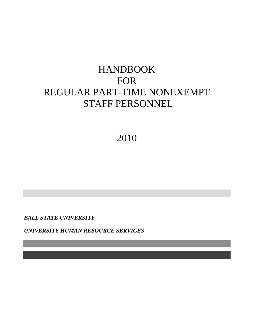## HANDBOOK FOR REGULAR PART-TIME NONEXEMPT STAFF PERSONNEL

## 2010

*BALL STATE UNIVERSITY*

*UNIVERSITY HUMAN RESOURCE SERVICES*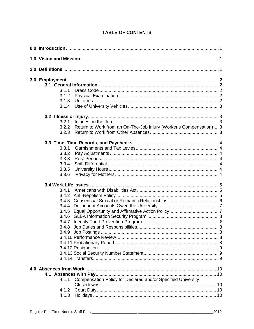|  | <b>TABLE OF CONTENTS</b> |
|--|--------------------------|
|  |                          |

| 3.1.1 |                                                                    |  |  |  |
|-------|--------------------------------------------------------------------|--|--|--|
| 3.1.2 |                                                                    |  |  |  |
| 3.1.3 |                                                                    |  |  |  |
| 3.1.4 |                                                                    |  |  |  |
|       |                                                                    |  |  |  |
|       |                                                                    |  |  |  |
| 3.2.1 |                                                                    |  |  |  |
| 3.2.2 | Return to Work from an On-The-Job Injury (Worker's Compensation) 3 |  |  |  |
| 3.2.3 |                                                                    |  |  |  |
|       |                                                                    |  |  |  |
| 3.3.1 |                                                                    |  |  |  |
| 3.3.2 |                                                                    |  |  |  |
| 3.3.3 |                                                                    |  |  |  |
| 3.3.4 |                                                                    |  |  |  |
| 3.3.5 |                                                                    |  |  |  |
| 3.3.6 |                                                                    |  |  |  |
|       |                                                                    |  |  |  |
|       |                                                                    |  |  |  |
| 3.4.1 |                                                                    |  |  |  |
| 3.4.2 |                                                                    |  |  |  |
| 3.4.3 |                                                                    |  |  |  |
| 3.4.4 |                                                                    |  |  |  |
| 3.4.5 |                                                                    |  |  |  |
| 3.4.6 |                                                                    |  |  |  |
| 3.4.7 |                                                                    |  |  |  |
| 3.4.8 |                                                                    |  |  |  |
|       |                                                                    |  |  |  |
|       |                                                                    |  |  |  |
|       |                                                                    |  |  |  |
|       |                                                                    |  |  |  |
|       |                                                                    |  |  |  |
|       |                                                                    |  |  |  |
|       |                                                                    |  |  |  |
|       |                                                                    |  |  |  |
|       |                                                                    |  |  |  |
|       | 4.1.1 Compensation Policy for Declared and/or Specified University |  |  |  |
|       |                                                                    |  |  |  |
|       |                                                                    |  |  |  |
| 4.1.3 |                                                                    |  |  |  |
|       |                                                                    |  |  |  |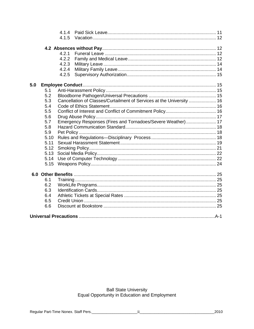|     |      | 4.1.4 |                                                                       |  |
|-----|------|-------|-----------------------------------------------------------------------|--|
|     |      | 4.1.5 |                                                                       |  |
|     |      |       |                                                                       |  |
|     |      |       |                                                                       |  |
|     |      | 4.2.1 |                                                                       |  |
|     |      | 4.2.2 |                                                                       |  |
|     |      | 4.2.3 |                                                                       |  |
|     |      | 4.2.4 |                                                                       |  |
|     |      | 4.2.5 |                                                                       |  |
| 5.0 |      |       |                                                                       |  |
|     | 5.1  |       |                                                                       |  |
|     | 5.2  |       |                                                                       |  |
|     | 5.3  |       | Cancellation of Classes/Curtailment of Services at the University  16 |  |
|     | 5.4  |       |                                                                       |  |
|     | 5.5  |       |                                                                       |  |
|     | 5.6  |       |                                                                       |  |
|     | 5.7  |       | Emergency Responses (Fires and Tornadoes/Severe Weather) 17           |  |
|     | 5.8  |       |                                                                       |  |
|     | 5.9  |       |                                                                       |  |
|     | 5.10 |       |                                                                       |  |
|     | 5.11 |       |                                                                       |  |
|     | 5.12 |       |                                                                       |  |
|     | 5.13 |       |                                                                       |  |
|     | 5.14 |       |                                                                       |  |
|     | 5.15 |       |                                                                       |  |
|     |      |       |                                                                       |  |
|     | 6.1  |       |                                                                       |  |
|     | 6.2  |       |                                                                       |  |
|     | 6.3  |       |                                                                       |  |
|     | 6.4  |       |                                                                       |  |
|     | 6.5  |       |                                                                       |  |
|     | 6.6  |       |                                                                       |  |
|     |      |       |                                                                       |  |
|     |      |       |                                                                       |  |

## Ball State University<br>Equal Opportunity in Education and Employment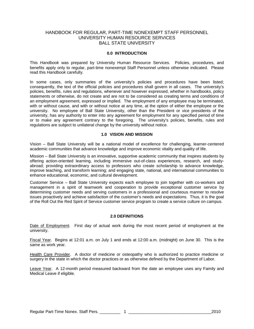#### HANDBOOK FOR REGULAR, PART-TIME NONEXEMPT STAFF PERSONNEL UNIVERSITY HUMAN RESOURCE SERVICES BALL STATE UNIVERSITY

#### **0.0 INTRODUCTION**

This *Handbook* was prepared by University Human Resource Services. Policies, procedures, and benefits apply only to regular, part-time nonexempt Staff Personnel unless otherwise indicated. Please read this *Handbook* carefully.

In some cases, only summaries of the university's policies and procedures have been listed; consequently, the text of the official policies and procedures shall govern in all cases. The university's policies, benefits, rules and regulations, whenever and however expressed, whether in handbooks, policy statements or otherwise, do not create and are not to be considered as creating terms and conditions of an employment agreement, expressed or implied. The employment of any employee may be terminated, with or without cause, and with or without notice at any time, at the option of either the employee or the university. No employee of Ball State University, other than the President or vice presidents of the university, has any authority to enter into any agreement for employment for any specified period of time or to make any agreement contrary to the foregoing. The university's policies, benefits, rules and regulations are subject to unilateral change by the university without notice.

#### **1.0 VISION AND MISSION**

Vision – Ball State University will be a national model of excellence for challenging, learner-centered academic communities that advance knowledge and improve economic vitality and quality of life.

Mission – Ball State University is an innovative, supportive academic community that inspires students by offering action-oriented learning, including immersive out-of-class experiences, research, and studyabroad; providing extraordinary access to professors who create scholarship to advance knowledge, improve teaching, and transform learning; and engaging state, national, and international communities to enhance educational, economic, and cultural development.

Customer Service – Ball State University expects each employee to join together with co-workers and management in a spirit of teamwork and cooperation to provide exceptional customer service by determining customer needs and serving customers in a professional and courteous manner to resolve issues proactively and achieve satisfaction of the customer's needs and expectations. Thus, it is the goal of the Roll Out the Red Spirit of Service customer service program to create a service culture on campus.

#### **2.0 DEFINITIONS**

Date of Employment. First day of actual work during the most recent period of employment at the university.

Fiscal Year. Begins at 12:01 a.m. on July 1 and ends at 12:00 a.m. (midnight) on June 30. This is the same as work year.

Health Care Provider. A doctor of medicine or osteopathy who is authorized to practice medicine or surgery in the state in which the doctor practices or as otherwise defined by the Department of Labor.

Leave Year. A 12-month period measured backward from the date an employee uses any Family and Medical Leave if eligible.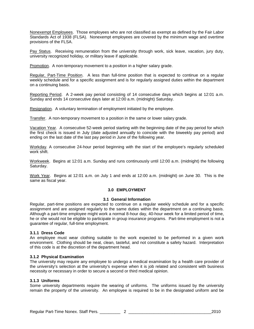Nonexempt Employees. Those employees who are not classified as exempt as defined by the Fair Labor Standards Act of 1938 (FLSA). Nonexempt employees are covered by the minimum wage and overtime provisions of the FLSA.

Pay Status. Receiving remuneration from the university through work, sick leave, vacation, jury duty, university recognized holiday, or military leave if applicable.

Promotion. A non-temporary movement to a position in a higher salary grade.

Regular, Part-Time Position. A less than full-time position that is expected to continue on a regular weekly schedule and for a specific assignment and is for regularly assigned duties within the department on a continuing basis.

Reporting Period. A 2-week pay period consisting of 14 consecutive days which begins at 12:01 a.m. Sunday and ends 14 consecutive days later at 12:00 a.m. (midnight) Saturday.

Resignation. A voluntary termination of employment initiated by the employee.

Transfer. A non-temporary movement to a position in the same or lower salary grade.

Vacation Year. A consecutive 52-week period starting with the beginning date of the pay period for which the first check is issued in July (date adjusted annually to coincide with the biweekly pay period) and ending on the last date of the last pay period in June of the following year.

Workday. A consecutive 24-hour period beginning with the start of the employee's regularly scheduled work shift.

Workweek. Begins at 12:01 a.m. Sunday and runs continuously until 12:00 a.m. (midnight) the following Saturday.

Work Year. Begins at 12:01 a.m. on July 1 and ends at 12:00 a.m. (midnight) on June 30. This is the same as fiscal year.

#### **3.0 EMPLOYMENT**

#### **3.1 General Information**

Regular, part-time positions are expected to continue on a regular weekly schedule and for a specific assignment and are assigned regularly to the same duties within the department on a continuing basis. Although a part-time employee might work a normal 8-hour day, 40-hour week for a limited period of time, he or she would not be eligible to participate in group insurance programs. Part-time employment is not a guarantee of regular, full-time employment.

#### **3.1.1 Dress Code**

An employee must wear clothing suitable to the work expected to be performed in a given work environment. Clothing should be neat, clean, tasteful, and not constitute a safety hazard. Interpretation of this code is at the discretion of the department head.

#### **3.1.2 Physical Examination**

The university may require any employee to undergo a medical examination by a health care provider of the university's selection at the university's expense when it is job related and consistent with business necessity or necessary in order to secure a second or third medical opinion.

#### **3.1.3 Uniforms**

Some university departments require the wearing of uniforms. The uniforms issued by the university remain the property of the university. An employee is required to be in the designated uniform and be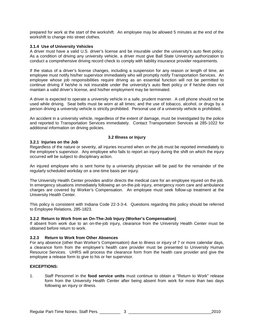prepared for work at the start of the workshift. An employee may be allowed 5 minutes at the end of the workshift to change into street clothes.

#### **3.1.4 Use of University Vehicles**

A driver must have a valid U.S. driver's license and be insurable under the university's auto fleet policy. As a condition of driving any university vehicle, a driver must give Ball State University authorization to conduct a comprehensive driving record check to comply with liability insurance provider requirements.

If the status of a driver's license changes, including a suspension for any reason or length of time, an employee must notify his/her supervisor immediately who will promptly notify Transportation Services. An employee whose job responsibilities require driving as an essential function will not be permitted to continue driving if he/she is not insurable under the university's auto fleet policy or if he/she does not maintain a valid driver's license, and his/her employment may be terminated.

A driver is expected to operate a university vehicle in a safe, prudent manner. A cell phone should not be used while driving. Seat belts must be worn at all times; and the use of tobacco, alcohol, or drugs by a person driving a university vehicle is strictly prohibited. Personal use of a university vehicle is prohibited.

An accident in a university vehicle, regardless of the extent of damage, must be investigated by the police and reported to Transportation Services immediately. Contact Transportation Services at 285-1022 for additional information on driving policies.

#### **3.2 Illness or Injury**

#### **3.2.1 Injuries on the Job**

Regardless of the nature or severity, all injuries incurred when on the job must be reported immediately to the employee's supervisor. Any employee who fails to report an injury during the shift on which the injury occurred will be subject to disciplinary action.

An injured employee who is sent home by a university physician will be paid for the remainder of the regularly scheduled workday on a one-time basis per injury.

The University Health Center provides and/or directs the medical care for an employee injured on the job. In emergency situations immediately following an on-the-job injury, emergency room care and ambulance charges are covered by Worker's Compensation. An employee must seek follow-up treatment at the University Health Center.

This policy is consistent with Indiana Code 22-3-3-4. Questions regarding this policy should be referred to Employee Relations, 285-1823.

#### **3.2.2 Return to Work from an On-The-Job Injury (Worker's Compensation)**

If absent from work due to an on-the-job injury, clearance from the University Health Center must be obtained before return to work.

#### **3.2.3 Return to Work from Other Absences**

For any absence (other than Worker's Compensation) due to illness or injury of 7 or more calendar days, a clearance form from the employee's health care provider must be presented to University Human Resource Services. UHRS will process the clearance form from the health care provider and give the employee a release form to give to his or her supervisor.

#### **EXCEPTIONS:**

1. Staff Personnel in the **food service units** must continue to obtain a "Return to Work" release form from the University Health Center after being absent from work for more than two days following an injury or illness.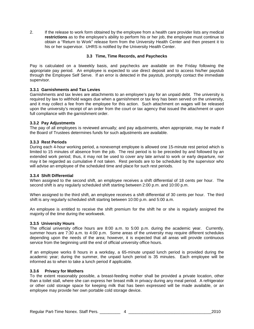2. If the release to work form obtained by the employee from a health care provider lists any medical **restrictions** as to the employee's ability to perform his or her job, the employee must continue to obtain a "Return to Work" release form from the University Health Center and then present it to his or her supervisor. UHRS is notified by the University Health Center.

#### **3.3 Time, Time Records, and Paychecks**

Pay is calculated on a biweekly basis, and paychecks are available on the Friday following the appropriate pay period. An employee is expected to use direct deposit and to access his/her paystub through the Employee Self Serve. If an error is detected in the paystub, promptly contact the immediate supervisor.

#### **3.3.1 Garnishments and Tax Levies**

Garnishments and tax levies are attachments to an employee's pay for an unpaid debt. The university is required by law to withhold wages due when a garnishment or tax levy has been served on the university, and it may collect a fee from the employee for this action. Such attachment on wages will be released upon the university's receipt of an order from the court or tax agency that issued the attachment or upon full compliance with the garnishment order.

#### **3.3.2 Pay Adjustments**

The pay of all employees is reviewed annually; and pay adjustments, when appropriate, may be made if the Board of Trustees determines funds for such adjustments are available.

#### **3.3.3 Rest Periods**

During each 4-hour working period, a nonexempt employee is allowed one 15-minute rest period which is limited to 15 minutes of absence from the job. The rest period is to be preceded by and followed by an extended work period; thus, it may not be used to cover any late arrival to work or early departure, nor may it be regarded as cumulative if not taken. Rest periods are to be scheduled by the supervisor who will advise an employee of the scheduled time and place for such rest periods.

#### **3.3.4 Shift Differential**

When assigned to the second shift, an employee receives a shift differential of 18 cents per hour. The second shift is any regularly scheduled shift starting between 2:00 p.m. and 10:00 p.m.

When assigned to the third shift, an employee receives a shift differential of 30 cents per hour. The third shift is any regularly scheduled shift starting between 10:00 p.m. and 5:00 a.m.

An employee is entitled to receive the shift premium for the shift he or she is regularly assigned the majority of the time during the workweek.

#### **3.3.5 University Hours**

The official university office hours are 8:00 a.m. to 5:00 p.m. during the academic year. Currently, summer hours are 7:30 a.m. to 4:00 p.m. Some areas of the university may require different schedules depending upon the needs of the area; however, it is expected that all areas will provide continuous service from the beginning until the end of official university office hours.

If an employee works 8 hours in a workday, a 65-minute unpaid lunch period is provided during the academic year; during the summer, the unpaid lunch period is 35 minutes. Each employee will be informed as to when to take a lunch period if applicable.

#### **3.3.6 Privacy for Mothers**

To the extent reasonably possible, a breast-feeding mother shall be provided a private location, other than a toilet stall, where she can express her breast milk in privacy during any meal period. A refrigerator or other cold storage space for keeping milk that has been expressed will be made available, or an employee may provide her own portable cold storage device.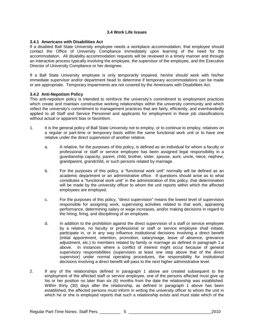#### **3.4 Work Life Issues**

#### **3.4.1 Americans with Disabilities Act**

If a disabled Ball State University employee needs a workplace accommodation, that employee should contact the Office of University Compliance immediately upon learning of the need for the accommodation. All disability accommodation requests will be reviewed in a timely manner and through an interactive process typically involving the employee, the supervisor of the employee, and the Executive Director of University Compliance or her designee.

If a Ball State University employee is only temporarily impaired, he/she should work with his/her immediate supervisor and/or department head to determine if temporary accommodations can be made or are appropriate. Temporary impairments are not covered by the Americans with Disabilities Act.

#### **3.4.2 Anti-Nepotism Policy**

This anti-nepotism policy is intended to reinforce the university's commitment to employment practices which create and maintain constructive working relationships within the university community and which reflect the university's commitment to management practices that are fairly, efficiently, and evenhandedly applied to all Staff and Service Personnel and applicants for employment in these job classifications without actual or apparent bias or favoritism.

- 1. It is the general policy of Ball State University not to employ, or to continue to employ, relatives on a regular or part-time or temporary basis within the same functional work unit or to have one relative under the direct supervision of another relative.
	- a. A relative, for the purposes of this policy, is defined as an individual for whom a faculty or professional or staff or service employee has been assigned legal responsibility in a guardianship capacity, parent, child, brother, sister, spouse, aunt, uncle, niece, nephew, grandparent, grandchild, or such persons related by marriage.
	- b. For the purposes of this policy, a "functional work unit" normally will be defined as an academic department or an administrative office. If questions should arise as to what constitutes a "functional work unit" in the administration of this policy, that determination will be made by the university officer to whom the unit reports within which the affected employees are employed.
	- c. For the purposes of this policy, "direct supervision" means the lowest level of supervision responsible for assigning work, supervising activities related to that work, appraising performance, determining salary or wage increases, and/or making decisions in regard to the hiring, firing, and disciplining of an employee.
	- d. In addition to the prohibition against the direct supervision of a staff or service employee by a relative, no faculty or professional or staff or service employee shall initiate, participate in, or in any way influence institutional decisions involving a direct benefit (initial appointment, retention, promotion, salary/wage, leave of absence, grievance adjustment, etc.) to members related by family or marriage as defined in paragraph 1.a above. In instances where a conflict of interest might occur because of general supervisory responsibilities (supervision at least one step above that of the direct supervisor) under normal operating procedures, the responsibility for institutional decisions involving a direct benefit will pass to the next higher administrative level.
- 2. If any of the relationships defined in paragraph 1 above are created subsequent to the employment of the affected staff or service employee, one of the persons affected must give up his or her position no later than six (6) months from the date the relationship was established. Within thirty (30) days after the relationship, as defined in paragraph 1 above has been established, the affected persons must inform in writing the university officer to whom the unit in which he or she is employed reports that such a relationship exists and must state which of the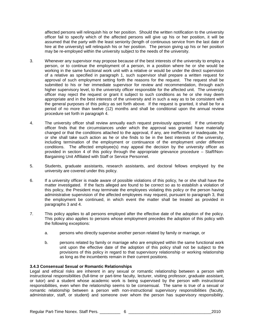affected persons will relinquish his or her position. Should the written notification to the university officer fail to specify which of the affected persons will give up his or her position, it will be assumed that the party with the least seniority (length of continuous service from the last date of hire at the university) will relinquish his or her position. The person giving up his or her position may be re-employed within the university subject to the needs of the university.

- 3. Whenever any supervisor may propose because of the best interests of the university to employ a person, or to continue the employment of a person, in a position where he or she would be working in the same functional work unit with a relative or would be under the direct supervision of a relative as specified in paragraph 1, such supervisor shall prepare a written request for approval of such employment setting forth the reasons for the request. The request shall be submitted to his or her immediate supervisor for review and recommendation, through each higher supervisory level, to the university officer responsible for the affected unit. The university officer may reject the request or grant it subject to such conditions as he or she may deem appropriate and in the best interests of the university and in such a way as to be consistent with the general purposes of this policy as set forth above. If the request is granted, it shall be for a period of no more than twelve (12) months and shall be conditional upon the annual review procedure set forth in paragraph 4.
- 4. The university officer shall review annually each request previously approved. If the university officer finds that the circumstances under which the approval was granted have materially changed or that the conditions attached to the approval, if any, are ineffective or inadequate, he or she shall take such action as he or she finds to be in the best interests of the university, including termination of the employment or continuance of the employment under different conditions. The affected employee(s) may appeal the decision by the university officer as provided in section 4 of this policy through the appropriate grievance procedure – Staff/Non-Bargaining Unit Affiliated with Staff or Service Personnel.
- 5. Students, graduate assistants, research assistants, and doctoral fellows employed by the university are covered under this policy.
- 6. If a university officer is made aware of possible violations of this policy, he or she shall have the matter investigated. If the facts alleged are found to be correct so as to establish a violation of this policy, the President may terminate the employees violating this policy or the person having administrative supervision of the affected employees may request, pursuant to paragraph 3, that the employment be continued, in which event the matter shall be treated as provided in paragraphs 3 and 4.
- 7. This policy applies to all persons employed after the effective date of the adoption of the policy. This policy also applies to persons whose employment precedes the adoption of this policy with the following exceptions:
	- a. persons who directly supervise another person related by family or marriage, or
	- b. persons related by family or marriage who are employed within the same functional work unit upon the effective date of the adoption of this policy shall not be subject to the provisions of this policy in regard to that supervisory relationship or working relationship as long as the incumbents remain in their current positions.

#### **3.4.3 Consensual Sexual or Romantic Relationships**

Legal and ethical risks are inherent in any sexual or romantic relationship between a person with instructional responsibilities (full-time or part-time faculty, lecturer, visiting professor, graduate assistant, or tutor) and a student whose academic work is being supervised by the person with instructional responsibilities, even when the relationship seems to be consensual. The same is true of a sexual or romantic relationship between a person with non-instructional supervisory responsibilities (faculty, administrator, staff, or student) and someone over whom the person has supervisory responsibility.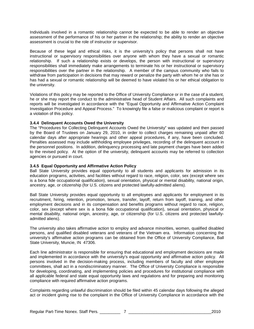Individuals involved in a romantic relationship cannot be expected to be able to render an objective assessment of the performance of his or her partner in the relationship; the ability to render an objective assessment is crucial to the role of instructor or supervisor.

Because of these legal and ethical risks, it is the university's policy that persons shall not have instructional or supervisory responsibilities over anyone with whom they have a sexual or romantic relationship. If such a relationship exists or develops, the person with instructional or supervisory responsibilities shall immediately make arrangements to terminate his or her instructional or supervisory responsibilities over the partner in the relationship. A member of the campus community who fails to withdraw from participation in decisions that may reward or penalize the party with whom he or she has or has had a sexual or romantic relationship will be deemed to have violated his or her ethical obligation to the university.

Violations of this policy may be reported to the Office of University Compliance or in the case of a student, he or she may report the conduct to the administrative head of Student Affairs. All such complaints and reports will be investigated in accordance with the "Equal Opportunity and Affirmative Action Complaint Investigation Procedure and Appeal Process." To knowingly file a false or malicious complaint or report is a violation of this policy.

#### **3.4.4 Delinquent Accounts Owed the University**

The "Procedures for Collecting Delinquent Accounts Owed the University" was updated and then passed by the Board of Trustees on January 29, 2010, in order to collect charges remaining unpaid after 60 calendar days after appropriate hearings and other appeal procedures, if any, have been concluded. Penalties assessed may include withholding employee privileges, recording of the delinquent account in the personnel positions. In addition, delinquency processing and late payment charges have been added to the revised policy. At the option of the university, delinquent accounts may be referred to collection agencies or pursued in court.

#### **3.4.5 Equal Opportunity and Affirmative Action Policy**

Ball State University provides equal opportunity to all students and applicants for admission in its education programs, activities, and facilities without regard to race, religion, color, sex (except where sex is a bona fide occupational qualification), sexual orientation, physical or mental disability, national origin, ancestry, age, or citizenship (for U.S. citizens and protected lawfully-admitted aliens).

Ball State University provides equal opportunity to all employees and applicants for employment in its recruitment, hiring, retention, promotion, tenure, transfer, layoff, return from layoff, training, and other employment decisions and in its compensation and benefits programs without regard to race, religion, color, sex (except where sex is a bona fide occupational qualification), sexual orientation, physical or mental disability, national origin, ancestry, age, or citizenship (for U.S. citizens and protected lawfullyadmitted aliens).

The university also takes affirmative action to employ and advance minorities, women, qualified disabled persons, and qualified disabled veterans and veterans of the Vietnam era. Information concerning the university's affirmative action programs can be obtained from the Office of University Compliance, Ball State University, Muncie, IN 47306.

Each line administrator is responsible for ensuring that educational and employment decisions are made and implemented in accordance with the university's equal opportunity and affirmative action policy. All persons involved in the decision-making process, including members of faculty and other employee committees, shall act in a nondiscriminatory manner. The Office of University Compliance is responsible for developing, coordinating, and implementing policies and procedures for institutional compliance with all applicable federal and state equal opportunity laws and regulations and for preparing and monitoring compliance with required affirmative action programs.

Complaints regarding unlawful discrimination should be filed within 45 calendar days following the alleged act or incident giving rise to the complaint in the Office of University Compliance in accordance with the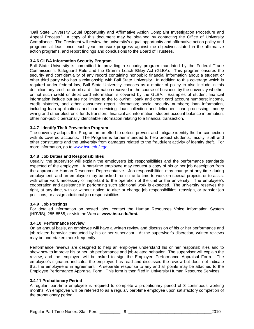"Ball State University Equal Opportunity and Affirmative Action Complaint Investigation Procedure and Appeal Process." A copy of this document may be obtained by contacting the Office of University Compliance. The President will review the university's equal opportunity and affirmative action policy and programs at least once each year, measure progress against the objectives stated in the affirmative action programs, and report findings and conclusions to the Board of Trustees.

#### **3.4.6 GLBA Information Security Program**

Ball State University is committed to providing a security program mandated by the Federal Trade Commission's Safeguard Rule and the Gramm Leach Bliley Act (GLBA). This program ensures the security and confidentiality of any record containing nonpublic financial information about a student or other third party who has a relationship with Ball State University. In addition to this coverage which is required under federal law, Ball State University chooses as a matter of policy to also include in this definition any credit or debit card information received in the course of business by the university whether or not such credit or debit card information is covered by the GLBA. Examples of student financial information include but are not limited to the following: bank and credit card account numbers; income, credit histories, and other consumer report information; social security numbers; loan information, including loan applications and loan servicing; loan collection and delinquent loan processing; money wiring and other electronic funds transfers; financial aid information; student account balance information; other non-public personally identifiable information relating to a financial transaction.

#### **3.4.7 Identify Theft Prevention Program**

The university adopts this Program in an effort to detect, prevent and mitigate identity theft in connection with its covered accounts. The Program is further intended to help protect students, faculty, staff and other constituents and the university from damages related to the fraudulent activity of identity theft. For more information, go to [www.bsu.edu/legal.](http://www.bsu.edu/legal)

#### **3.4.8 Job Duties and Responsibilities**

Usually, the supervisor will explain the employee's job responsibilities and the performance standards expected of the employee. A part-time employee may request a copy of his or her job description from the appropriate Human Resources Representative. Job responsibilities may change at any time during employment, and an employee may be asked from time to time to work on special projects or to assist with other work necessary or important to the operation of the unit or the university. The employee's cooperation and assistance in performing such additional work is expected. The university reserves the right, at any time, with or without notice, to alter or change job responsibilities, reassign, or transfer job positions, or assign additional job responsibilities.

#### **3.4.9 Job Postings**

For detailed information on posted jobs, contact the Human Resources Voice Information System (HRVIS), 285-8565, or visit the Web at **www.bsu.edu/hrs/.**

#### **3.4.10 Performance Review**

On an annual basis, an employee will have a written review and discussion of his or her performance and job-related behavior conducted by his or her supervisor. At the supervisor's discretion, written reviews may be undertaken more frequently.

Performance reviews are designed to help an employee understand his or her responsibilities and to show how to improve his or her job performance and job-related behavior. The supervisor will explain the review, and the employee will be asked to sign the Employee Performance Appraisal Form. The employee's signature indicates the employee has read and discussed the review but does not indicate that the employee is in agreement. A separate response to any and all points may be attached to the Employee Performance Appraisal Form. This form is then filed in University Human Resource Services.

#### **3.4.11 Probationary Period**

A regular, part-time employee is required to complete a probationary period of 3 continuous working months. An employee will be referred to as a regular, part-time employee upon satisfactory completion of the probationary period.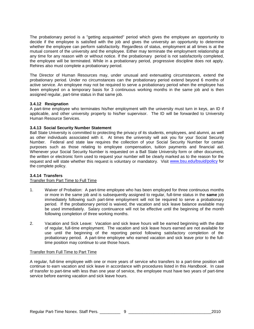The probationary period is a "getting acquainted" period which gives the employee an opportunity to decide if the employee is satisfied with the job and gives the university an opportunity to determine whether the employee can perform satisfactorily. Regardless of status, employment at all times is at the mutual consent of the university and the employee. Either may terminate the employment relationship at any time for any reason with or without notice. If the probationary period is not satisfactorily completed, the employee will be terminated. While in a probationary period, progressive discipline does not apply. Rehires also must complete a probationary period.

The Director of Human Resources may, under unusual and extenuating circumstances, extend the probationary period. Under no circumstances can the probationary period extend beyond 6 months of active service. An employee may not be required to serve a probationary period when the employee has been employed on a temporary basis for 3 continuous working months in the same job and is then assigned regular, part-time status in that same job.

#### **3.4.12 Resignation**

A part-time employee who terminates his/her employment with the university must turn in keys, an ID if applicable, and other university property to his/her supervisor. The ID will be forwarded to University Human Resource Services.

#### **3.4.13 Social Security Number Statement**

Ball State University is committed to protecting the privacy of its students, employees, and alumni, as well as other individuals associated with it. At times the university will ask you for your Social Security Number. Federal and state law requires the collection of your Social Security Number for certain purposes such as those relating to employee compensation, tuition payments and financial aid. Whenever your Social Security Number is requested on a Ball State University form or other document, the written or electronic form used to request your number will be clearly marked as to the reason for the request and will state whether this request is voluntary or mandatory. Visit [www.bsu.edu/bsuid/policy](http://www.bsu.edu/bsuid/policy) for the complete policy.

#### **3.4.14 Transfers**

#### Transfer from Part Time to Full Time

- 1. Waiver of Probation: A part-time employee who has been employed for three continuous months or more in the same job and is subsequently assigned to regular, full-time status in the **same** job immediately following such part-time employment will not be required to serve a probationary period. If the probationary period is waived, the vacation and sick leave balance available may be used immediately. Salary continuance will not be effective until the beginning of the month following completion of three working months.
- 2. Vacation and Sick Leave: Vacation and sick leave hours will be earned beginning with the date of regular, full-time employment. The vacation and sick leave hours earned are not available for use until the beginning of the reporting period following satisfactory completion of the probationary period. A part-time employee who earned vacation and sick leave prior to the fulltime position may continue to use those hours.

#### Transfer from Full Time to Part Time

A regular, full-time employee with one or more years of service who transfers to a part-time position will continue to earn vacation and sick leave in accordance with procedures listed in this *Handbook*. In case of transfer to part-time with less than one year of service, the employee must have two years of part-time service before earning vacation and sick leave hours.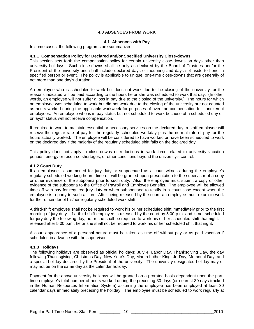#### **4.0 ABSENCES FROM WORK**

#### **4.1 Absences with Pay**

In some cases, the following programs are summarized.

#### **4.1.1 Compensation Policy for Declared and/or Specified University Close-downs**

This section sets forth the compensation policy for certain university close-downs on days other than university holidays. Such close-downs shall be only as declared by the Board of Trustees and/or the President of the university and shall include declared days of mourning and days set aside to honor a specified person or event. The policy is applicable to unique, one-time close-downs that are generally of not more than one day's duration.

An employee who is scheduled to work but does not work due to the closing of the university for the reasons indicated will be paid according to the hours he or she was scheduled to work that day. (In other words, an employee will not suffer a loss in pay due to the closing of the university.) The hours for which an employee was scheduled to work but did not work due to the closing of the university are not counted as hours worked during the applicable workweek for purposes of overtime compensation for nonexempt employees. An employee who is in pay status but not scheduled to work because of a scheduled day off or layoff status will not receive compensation.

If required to work to maintain essential or necessary services on the declared day, a staff employee will receive the regular rate of pay for the regularly scheduled workday plus the normal rate of pay for the hours actually worked. The employee will be considered to have worked or have been scheduled to work on the declared day if the majority of the regularly scheduled shift falls on the declared day.

This policy does not apply to close-downs or reductions in work force related to university vacation periods, energy or resource shortages, or other conditions beyond the university's control.

#### **4.1.2 Court Duty**

If an employee is summoned for jury duty or subpoenaed as a court witness during the employee's regularly scheduled working hours, time off will be granted upon presentation to the supervisor of a copy or other evidence of the subpoena prior to such duty. Also, the employee must submit a copy or other evidence of the subpoena to the Office of Payroll and Employee Benefits. The employee will be allowed time off with pay for required jury duty or when subpoenaed to testify in a court case except when the employee is a party to such action. After being released by the court, an employee must return to work for the remainder of his/her regularly scheduled work shift.

A third-shift employee shall not be required to work his or her scheduled shift immediately prior to the first morning of jury duty. If a third shift employee is released by the court by 5:00 p.m. and is not scheduled for jury duty the following day, he or she shall be required to work his or her scheduled shift that night. If released after 5:00 p.m., he or she shall not be required to work his or her scheduled shift that night.

A court appearance of a personal nature must be taken as time off without pay or as paid vacation if scheduled in advance with the supervisor.

#### **4.1.3 Holidays**

The following holidays are observed as official holidays: July 4, Labor Day, Thanksgiving Day, the day following Thanksgiving, Christmas Day, New Year's Day, Martin Luther King, Jr. Day, Memorial Day, and a special holiday declared by the President of the university. The university-designated holiday may or may not be on the same day as the calendar holiday.

Payment for the above university holidays will be granted on a prorated basis dependent upon the parttime employee's total number of hours worked during the preceding 30 days (or nearest 30 days tracked in the Human Resources Information System) assuming the employee has been employed at least 30 calendar days immediately preceding the holiday. The employee must be scheduled to work regularly at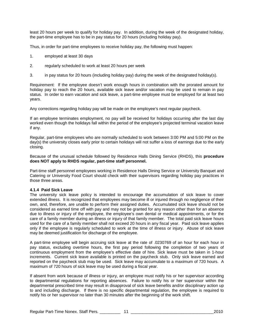least 20 hours per week to qualify for holiday pay. In addition, during the week of the designated holiday, the part-time employee has to be in pay status for 20 hours (including holiday pay).

Thus, in order for part-time employees to receive holiday pay, the following must happen:

- 1. employed at least 30 days
- 2. regularly scheduled to work at least 20 hours per week
- 3. in pay status for 20 hours (including holiday pay) during the week of the designated holiday(s).

Requirement: If the employee doesn't work enough hours in combination with the prorated amount for holiday pay to reach the 20 hours, available sick leave and/or vacation may be used to remain in pay status. In order to earn vacation and sick leave, a part-time employee must be employed for at least two years.

Any corrections regarding holiday pay will be made on the employee's next regular paycheck.

If an employee terminates employment, no pay will be received for holidays occurring after the last day worked even though the holidays fall within the period of the employee's projected terminal vacation leave if any.

Regular, part-time employees who are normally scheduled to work between 3:00 PM and 5:00 PM on the day(s) the university closes early prior to certain holidays will not suffer a loss of earnings due to the early closing.

Because of the unusual schedule followed by Residence Halls Dining Service (RHDS), this **procedure does NOT apply to RHDS regular, part-time staff personnel.**

Part-time staff personnel employees working in Residence Halls Dining Service or University Banquet and Catering or University Food Court should check with their supervisors regarding holiday pay practices in those three areas.

#### **4.1.4 Paid Sick Leave**

The university sick leave policy is intended to encourage the accumulation of sick leave to cover extended illness. It is recognized that employees may become ill or injured through no negligence of their own, and, therefore, are unable to perform their assigned duties. Accumulated sick leave should not be considered as earned time off with pay and may not be granted for any reason other than for an absence due to illness or injury of the employee, the employee's own dental or medical appointments, or for the care of a family member during an illness or injury of that family member. The total paid sick leave hours used for the care of a family member shall not exceed 20 hours in any fiscal year. Paid sick leave applies only if the employee is regularly scheduled to work at the time of illness or injury. Abuse of sick leave may be deemed justification for discharge of the employee.

A part-time employee will begin accruing sick leave at the rate of .0230769 of an hour for each hour in pay status, excluding overtime hours, the first pay period following the completion of two years of continuous employment from the employee's effective date of hire. Sick leave must be taken in 1-hour increments. Current sick leave available is printed on the paycheck stub. Only sick leave earned and reported on the paycheck stub may be used. Sick leave may accumulate to a maximum of 720 hours. A maximum of 720 hours of sick leave may be used during a fiscal year.

If absent from work because of illness or injury, an employee must notify his or her supervisor according to departmental regulations for reporting absences. Failure to notify his or her supervisor within the departmental prescribed time may result in disapproval of sick leave benefits and/or disciplinary action up to and including discharge. If there is no specific departmental regulation, the employee is required to notify his or her supervisor no later than 30 minutes after the beginning of the work shift.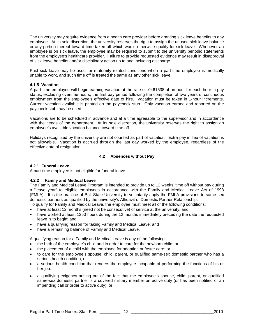The university may require evidence from a health care provider before granting sick leave benefits to any employee. At its sole discretion, the university reserves the right to assign the unused sick leave balance or any portion thereof toward time taken off which would otherwise qualify for sick leave. Whenever an employee is on sick leave, the employee may be required to submit to the university periodic statements from the employee's healthcare provider. Failure to provide requested evidence may result in disapproval of sick leave benefits and/or disciplinary action up to and including discharge.

Paid sick leave may be used for maternity related conditions when a part-time employee is medically unable to work, and such time off is treated the same as any other sick leave.

#### **4.1.5 Vacation**

A part-time employee will begin earning vacation at the rate of .0461538 of an hour for each hour in pay status, excluding overtime hours, the first pay period following the completion of two years of continuous employment from the employee's effective date of hire. Vacation must be taken in 1-hour increments. Current vacation available is printed on the paycheck stub. Only vacation earned and reported on the paycheck stub may be used.

Vacations are to be scheduled in advance and at a time agreeable to the supervisor and in accordance with the needs of the department. At its sole discretion, the university reserves the right to assign an employee's available vacation balance toward time off.

Holidays recognized by the university are not counted as part of vacation. Extra pay in lieu of vacation is not allowable. Vacation is accrued through the last day worked by the employee, regardless of the effective date of resignation.

#### **4.2 Absences without Pay**

#### **4.2.1 Funeral Leave**

A part-time employee is not eligible for funeral leave.

#### **4.2.2 Family and Medical Leave**

The Family and Medical Leave Program is intended to provide up to 12 weeks' time off without pay during a "leave year" to eligible employees in accordance with the Family and Medical Leave Act of 1993 (FMLA). It is the practice of Ball State University to voluntarily apply the FMLA provisions to same-sex domestic partners as qualified by the university's Affidavit of Domestic Partner Relationship.

To qualify for Family and Medical Leave, the employee must meet all of the following conditions:

- have at least 12 months (need not be consecutive) of service at the university; and
- have worked at least 1250 hours during the 12 months immediately preceding the date the requested leave is to begin; and
- have a qualifying reason for taking Family and Medical Leave; and
- have a remaining balance of Family and Medical Leave.

A qualifying reason for a Family and Medical Leave is any of the following:

- the birth of the employee's child and in order to care for the newborn child; or
- the placement of a child with the employee for adoption or foster care; or
- to care for the employee's spouse, child, parent, or qualified same-sex domestic partner who has a serious health condition; or
- a serious health condition that renders the employee incapable of performing the functions of his or her job.
- a qualifying exigency arising out of the fact that the employee's spouse, child, parent, or qualified same-sex domestic partner is a covered military member on active duty (or has been notified of an impending call or order to active duty); or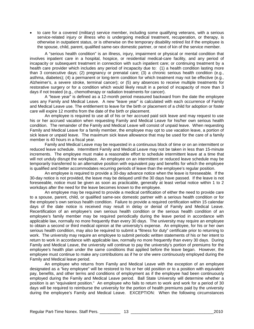• to care for a covered (military) service member, including some qualifying veterans, with a serious service-related injury or illness who is undergoing medical treatment, recuperation, or therapy, is otherwise in outpatient status, or is otherwise on the temporary disability retired list if the employee is the spouse, child, parent, qualified same-sex domestic partner, or next of kin of the service member.

A "serious health condition" is an illness, injury, impairment or physical or mental condition that involves inpatient care in a hospital, hospice, or residential medical-care facility, and any period of incapacity or subsequent treatment in connection with such inpatient care; or continuing treatment by a health care provider which includes any period of incapacity due to: (1) a health condition lasting more than 3 consecutive days; (2) pregnancy or prenatal care; (3) a chronic serious health condition (e.g., asthma, diabetes); (4) a permanent or long-term condition for which treatment may not be effective (e.g., Alzheimer's, a severe stroke, terminal cancer); or (5) any absences to receive multiple treatments for restorative surgery or for a condition which would likely result in a period of incapacity of more than 3 days if not treated (e.g., chemotherapy or radiation treatments for cancer).

A "leave year" is defined as a 12-month period measured backward from the date the employee uses any Family and Medical Leave. A new "leave year" is calculated with each occurrence of Family and Medical Leave use. The entitlement to leave for the birth or placement of a child for adoption or foster care will expire 12 months from the date of the birth or placement.

An employee is required to use all of his or her accrued paid sick leave and may request to use his or her accrued vacation when requesting Family and Medical Leave for his/her own serious health condition. The remainder of the Family and Medical Leave will consist of unpaid leave. When requesting Family and Medical Leave for a family member, the employee may opt to use vacation leave, a portion of sick leave or unpaid leave. The maximum sick leave allowance that may be used for the care of a family member is 40 hours in a fiscal year.

Family and Medical Leave may be requested in a continuous block of time or on an intermittent or reduced leave schedule. Intermittent Family and Medical Leave may not be taken in less than 15-minute increments. The employee must make a reasonable effort to schedule intermittent leave at a time that will not unduly disrupt the workplace. An employee on an intermittent or reduced leave schedule may be temporarily transferred to an alternative position with equivalent pay and benefits for which the employee is qualified and better accommodates recurring periods of leave than the employee's regular position.

An employee is required to provide a 30-day advance notice when the leave is foreseeable. If the 30-day notice is not provided, the leave may be delayed until the 30 days have passed. If the leave is not foreseeable, notice must be given as soon as practicable, generally at least verbal notice within 1 to 2 workdays after the need for the leave becomes known to the employee.

An employee may be required to provide a medical certification of either the need to provide care to a spouse, parent, child, or qualified same-sex domestic partner with a serious health condition or for the employee's own serious health condition. Failure to provide a required certification within 15 calendar days of the date notice is received may result in delay or denial of Family and Medical Leave. Recertification of an employee's own serious health condition or the serious health condition of an employee's family member may be required periodically during the leave period in accordance with applicable law, normally no more frequently than every 30 days. The university may require an employee to obtain a second or third medical opinion at the university's expense. An employee, for his or her own serious health condition, may also be required to submit a "fitness for duty" certificate prior to returning to work. The university may require an employee to submit periodic written statements of his or her intent to return to work in accordance with applicable law, normally no more frequently than every 30 days. During Family and Medical Leave, the university will continue to pay the university's portion of premiums for the employee's health plan under the same conditions that applied before the leave began. However, the employee must continue to make any contributions as if he or she were continuously employed during the Family and Medical leave period.

An employee who returns from Family and Medical Leave with the exception of an employee designated as a "key employee" will be restored to his or her old position or to a position with equivalent pay, benefits, and other terms and conditions of employment as if the employee had been continuously employed during the Family and Medical Leave period. Ball State University will determine whether a position is an "equivalent position." An employee who fails to return to work and work for a period of 30 days will be required to reimburse the university for the portion of health premiums paid by the university during the employee's Family and Medical Leave. EXCEPTION: When the following circumstances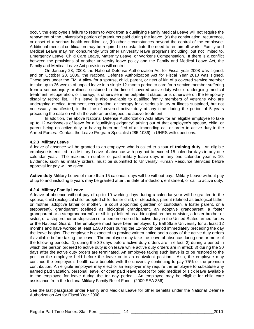occur, the employee's failure to return to work from a qualifying Family Medical Leave will not require the repayment of the university's portion of premiums paid during the leave: (a) the continuation, recurrence, or onset of a serious health condition; or, (b) other circumstances beyond the control of the employee. Additional medical certification may be required to substantiate the need to remain off work. Family and Medical Leave may run concurrently with other university leave programs including, but not limited to, Emergency Leave, Child Care Leave, Maternity Leave, or Worker's Compensation. If there is a conflict between the provisions of another university leave policy and the Family and Medical Leave Act, the Family and Medical Leave Act provisions will control.

On January 28, 2008, the National Defense Authorization Act for Fiscal year 2008 was signed, and on October 28, 2009, the National Defense Authorization Act for Fiscal Year 2010 was signed. These acts under the FMLA allow for a spouse, child, parent, or next of kin of a covered service member to take up to 26 weeks of unpaid leave in a single 12-month period to care for a service member suffering from a serious injury or illness sustained in the line of covered active duty who is undergoing medical treatment, recuperation, or therapy, is otherwise in an outpatient status, or is otherwise on the temporary disability retired list. This leave is also available to qualified family members of veterans who are undergoing medical treatment, recuperation, or therapy for a serious injury or illness sustained, but not necessarily manifested, in the line of covered active duty at any time during the period of 5 years preceding the date on which the veteran undergoes the above treatment.

In addition, the above National Defense Authorization Acts allow for an eligible employee to take up to 12 workweeks of leave for a "qualifying exigency" arising out of that employee's spouse, child, or parent being on active duty or having been notified of an impending call or order to active duty in the Armed Forces. Contact the Leave Program Specialist (285-1036) in UHRS with questions.

#### **4.2.3 Military Leave**

A leave of absence will be granted to an employee who is called to a tour of **training duty.** An eligible employee is entitled to a Military Leave of absence with pay not to exceed 15 calendar days in any one calendar year. The maximum number of paid military leave days in any one calendar year is 10. Evidence, such as military orders, must be submitted to University Human Resource Services before approval for pay will be given.

**Active duty** Military Leave of more than 15 calendar days will be without pay. Military Leave without pay of up to and including 5 years may be granted after the date of induction, enlistment, or call to active duty.

#### **4.2.4 Military Family Leave**

A leave of absence without pay of up to 10 working days during a calendar year will be granted to the spouse, child (biological child, adopted child, foster child, or stepchild), parent (defined as biological father or mother, adoptive father or mother, a court appointed guardian or custodian, a foster parent, or a stepparent), grandparent (defined as biological grandparent, an adoptive grandparent, a foster grandparent or a stepgrandparent), or sibling (defined as a biological brother or sister, a foster brother or sister, or a stepbrother or stepsister) of a person ordered to active duty in the United States armed forces or the National Guard. The employee must have been employed by Ball State University for at least 12 months and have worked at least 1,500 hours during the 12-month period immediately preceding the day the leave begins. The employee is expected to provide written notice and a copy of the active duty orders if available before taking the leave. The employee may take the leave of absence during one or more of the following periods: 1) during the 30 days before active duty orders are in effect; 2) during a period in which the person ordered to active duty is on leave while active duty orders are in effect; 3) during the 30 days after the active duty orders are terminated. An employee taking such leave is to be restored to the position the employee held before the leave or to an equivalent position. Also, the employee may continue the employee's health care benefits with the university continuing to pay 75% of the premium contribution. An eligible employee may elect or an employer may require the employee to substitute any earned paid vacation, personal leave, or other paid leave except for paid medical or sick leave available to the employee for leave during the ten-day period. An employee may be eligible for child care assistance from the Indiana Military Family Relief Fund. (2009 SEA 356)

See the last paragraph under Family and Medical Leave for other benefits under the National Defense Authorization Act for Fiscal Year 2008.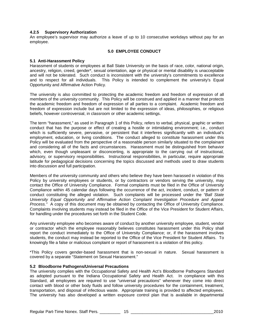#### **4.2.5 Supervisory Authorization**

An employee's supervisor may authorize a leave of up to 10 consecutive workdays without pay for an employee.

#### **5.0 EMPLOYEE CONDUCT**

#### **5.1 Anti-Harassment Policy**

Harassment of students or employees at Ball State University on the basis of race, color, national origin, ancestry, religion, creed, gender\*, sexual orientation, age or physical or mental disability is unacceptable and will not be tolerated. Such conduct is inconsistent with the university's commitments to excellence and to respect for all individuals. This Policy is intended to complement the university's Equal Opportunity and Affirmative Action Policy.

The university is also committed to protecting the academic freedom and freedom of expression of all members of the university community. This Policy will be construed and applied in a manner that protects the academic freedom and freedom of expression of all parties to a complaint. Academic freedom and freedom of expression include but are not limited to the expression of ideas, philosophies, or religious beliefs, however controversial, in classroom or other academic settings.

The term "harassment," as used in Paragraph 1 of this Policy, refers to verbal, physical, graphic or written conduct that has the purpose or effect of creating a hostile or intimidating environment; i.e., conduct which is sufficiently severe, pervasive, or persistent that it interferes significantly with an individual's employment, education, or living conditions. The conduct alleged to constitute harassment under this Policy will be evaluated from the perspective of a reasonable person similarly situated to the complainant and considering all of the facts and circumstances. Harassment must be distinguished from behavior which, even though unpleasant or disconcerting, is appropriate to the carrying out of instructional, advisory, or supervisory responsibilities. Instructional responsibilities, in particular, require appropriate latitude for pedagogical decisions concerning the topics discussed and methods used to draw students into discussion and full participation.

Members of the university community and others who believe they have been harassed in violation of this Policy by university employees or students, or by contractors or vendors serving the university, may contact the Office of University Compliance. Formal complaints must be filed in the Office of University Compliance within 45 calendar days following the occurrence of the act, incident, conduct, or pattern of conduct constituting the alleged violation. Such complaints will be processed under the *"Ball State University Equal Opportunity and Affirmative Action Complaint Investigation Procedure and Appeal Process."* A copy of this document may be obtained by contacting the Office of University Compliance. Complaints involving students may instead be filed in the Office of the Vice President for Student Affairs, for handling under the procedures set forth in the Student Code.

Any university employee who becomes aware of conduct by another university employee, student, vendor or contractor which the employee reasonably believes constitutes harassment under this Policy shall report the conduct immediately to the Office of University Compliance; or, if the harassment involves students, the conduct may instead be reported to the Office of the Vice President for Student Affairs. To knowingly file a false or malicious complaint or report of harassment is a violation of this policy.

\*This Policy covers gender-based harassment that is non-sexual in nature. Sexual harassment is covered by a separate "Statement on Sexual Harassment."

#### **5.2 Bloodborne Pathogens/Universal Precautions**

The university complies with the Occupational Safety and Health Act's Bloodborne Pathogens Standard as adopted pursuant to the Indiana Occupational Safety and Health Act. In compliance with this Standard, all employees are required to use "universal precautions" whenever they come into direct contact with blood or other body fluids and follow university procedures for the containment, treatment, transportation, and disposal of infectious waste. Appropriate training is provided to affected employees. The university has also developed a written exposure control plan that is available in departmental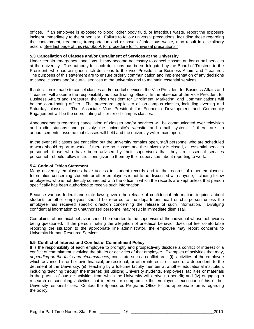offices. If an employee is exposed to blood, other body fluid, or infectious waste, report the exposure incident immediately to the supervisor. Failure to follow universal precautions, including those regarding the containment, treatment, transportation and disposal of infectious waste, may result in disciplinary action*.* See last page of this *Handbook* for procedure for "universal precautions."

#### **5.3 Cancellation of Classes and/or Curtailment of Services at the University**

Under certain emergency conditions, it may become necessary to cancel classes and/or curtail services at the university. The authority for such decisions has been delegated by the Board of Trustees to the President, who has assigned such decisions to the Vice President for Business Affairs and Treasurer. The purposes of this statement are to ensure orderly communication and implementation of any decisions to cancel classes and/or curtail services at the university and to maintain essential services.

If a decision is made to cancel classes and/or curtail services, the Vice President for Business Affairs and Treasurer will assume the responsibility as coordinating officer. In the absence of the Vice President for Business Affairs and Treasurer, the Vice President for Enrollment, Marketing, and Communications will be the coordinating officer. The procedure applies to all on-campus classes, including evening and Saturday classes. The Associate Vice President for Economic Development and Community Engagement will be the coordinating officer for off-campus classes.

Announcements regarding cancellation of classes and/or services will be communicated over television and radio stations and possibly the university's website and email system. If there are no announcements, assume that classes will held and the university will remain open.

In the event all classes are cancelled but the university remains open, staff personnel who are scheduled to work should report to work. If there are no classes and the university is closed, all essential services personnel—those who have been advised by their supervisors that they are essential services personnel—should follow instructions given to them by their supervisors about reporting to work.

#### **5.4 Code of Ethics Statement**

Many university employees have access to student records and to the records of other employees. Information concerning students or other employees is not to be discussed with anyone, including fellow employees, who is not directly connected with the office in which the records are kept unless that person specifically has been authorized to receive such information.

Because various federal and state laws govern the release of confidential information, inquiries about students or other employees should be referred to the department head or chairperson unless the employee has received specific direction concerning the release of such information. Divulging confidential information to unauthorized personnel may result in immediate dismissal.

Complaints of unethical behavior should be reported to the supervisor of the individual whose behavior is being questioned. If the person making the allegation of unethical behavior does not feel comfortable reporting the situation to the appropriate line administrator, the employee may report concerns to University Human Resource Services.

#### **5.5 Conflict of Interest and Conflict of Commitment Policy**

It is the responsibility of each employee to promptly and prospectively disclose a conflict of interest or a conflict of commitment involving the affairs or activities of that employee. Examples of activities that may, *depending on the facts and circumstances,* constitute such a conflict are: (i) activities of the employee which advance his or her own financial, professional, or other interests, or those of a dependent, to the detriment of the University; (ii) teaching by a full-time faculty member at another educational institution, including teaching through the Internet; (iii) utilizing University students, employees, facilities or materials in the pursuit of outside activities from which the University will derive no benefit; and (iv) engaging in research or consulting activities that interfere or compromise the employee's execution of his or her University responsibilities. Contact the Sponsored Programs Office for the appropriate forms regarding the policy.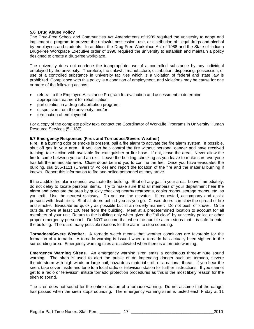#### **5.6 Drug Abuse Policy**

The Drug-Free School and Communities Act Amendments of 1989 required the university to adopt and implement a program to prevent the unlawful possession, use, or distribution of illegal drugs and alcohol by employees and students. In addition, the Drug-Free Workplace Act of 1988 and the State of Indiana Drug-Free Workplace Executive order of 1990 required the university to establish and maintain a policy designed to create a drug-free workplace.

The university does not condone the inappropriate use of a controlled substance by any individual employed by the university. Therefore, the unlawful manufacture, distribution, dispensing, possession, or use of a controlled substance in university facilities which is a violation of federal and state law is prohibited. Compliance with this policy is a condition of employment, and violations may be cause for one or more of the following actions:

- referral to the Employee Assistance Program for evaluation and assessment to determine appropriate treatment for rehabilitation;
- participation in a drug-rehabilitation program;
- suspension from the university; and/or
- termination of employment.

For a copy of the complete policy text, contact the Coordinator of WorkLife Programs in University Human Resource Services (5-1187).

#### **5.7 Emergency Responses (Fires and Tornadoes/Severe Weather)**

**Fire.** If a burning odor or smoke is present, pull a fire alarm to activate the fire alarm system. If possible, shut off gas in your area. If you can help control the fire without personal danger and have received training, take action with available fire extinguisher or fire hose. If not, leave the area. Never allow the fire to come between you and an exit. Leave the building, checking as you leave to make sure everyone has left the immediate area. Close doors behind you to confine the fire. Once you have evacuated the building, dial 285-1111 (University Police) and report the location of the fire and the material burning if known. Report this information to fire and police personnel as they arrive.

If the audible fire alarm sounds, evacuate the building. Shut off any gas in your area. Leave immediately; do not delay to locate personal items. Try to make sure that all members of your department hear the alarm and evacuate the area by quickly checking nearby restrooms, copier rooms, storage rooms, etc. as you exit. Use the nearest stairway. Do not use the elevator. If requested, accompany and assist persons with disabilities. Shut all doors behind you as you go. Closed doors can slow the spread of fire and smoke. Evacuate as quickly as possible but in an orderly manner. Do not push or shove. Once outside, move at least 100 feet from the building. Meet at a predetermined location to account for all members of your unit. Return to the building only when given the "all clear" by university police or other proper emergency personnel. Do NOT assume that when the audible alarm stops that it is safe to enter the building. There are many possible reasons for the alarm to stop sounding.

**Tornadoes/Severe Weather.** A tornado watch means that weather conditions are favorable for the formation of a tornado. A tornado warning is issued when a tornado has actually been sighted in the surrounding area. Emergency warning sires are activated when there is a tornado warning.

**Emergency Warning Sirens.** An emergency warning siren emits a continuous three-minute sound warning. The siren is used to alert the public of an impending danger such as tornado, severe thunderstorm with high winds or large hail, hazardous material spill, or a national threat. If you hear the siren, take cover inside and tune to a local radio or television station for further instructions. If you cannot get to a radio or television, initiate tornado protection procedures as this is the most likely reason for the siren to sound.

The siren does not sound for the entire duration of a tornado warning. Do not assume that the danger has passed when the siren stops sounding. The emergency warning siren is tested each Friday at 11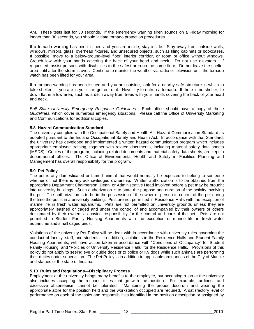AM. These tests last for 30 seconds. If the emergency warning siren sounds on a Friday morning for longer than 30 seconds, you should initiate tornado protection procedures.

If a tornado warning has been issued and you are inside, stay inside. Stay away from outside walls, windows, mirrors, glass, overhead fixtures, and unsecured objects, such as filing cabinets or bookcases. If possible, move to a below-ground-level floor, interior corridor, or room or office without windows. Crouch low with your hands covering the back of your head and neck. Do not use elevators. If requested, assist persons with disabilities to the safest area on the same floor. Do not leave the shelter area until after the storm is over. Continue to monitor the weather via radio or television until the tornado watch has been lifted for your area.

If a tornado warning has been issued and you are outside, look for a nearby safe structure in which to take shelter. If you are in your car, get out of it. Never try to outrun a tornado. If there is no shelter, lie down flat in a low area, such as a ditch away from trees with your hands covering the back of your head and neck.

*Ball State University Emergency Response Guidelines.* Each office should have a copy of these *Guidelines,* which cover numerous emergency situations. Please call the Office of University Marketing and Communications for additional copies.

#### **5.8 Hazard Communication Standard**

The university complies with the Occupational Safety and Health Act Hazard Communication Standard as adopted pursuant to the Indiana Occupational Safety and Health Act. In accordance with that Standard, the university has developed and implemented a written hazard communication program which includes appropriate employee training, together with related documents, including material safety data sheets (MSDS). Copies of the program, including related documents and material safety data sheets, are kept in departmental offices. The Office of Environmental Health and Safety in Facilities Planning and The Office of Environmental Health and Safety in Facilities Planning and Management has overall responsibility for the program.

#### **5.9 Pet Policy**

The pet is any domesticated or tamed animal that would normally be expected to belong to someone whether or not there is any acknowledged ownership. Written authorization is to be obtained from the appropriate Department Chairperson, Dean, or Administrative Head involved before a pet may be brought into university buildings. Such authorization is to state the purpose and duration of the activity involving the pet. The authorization is to be in the possession of the owner or person in control of the pet during the time the pet is in a university building. Pets are not permitted in Residence Halls with the exception of marine life in fresh water aquariums. Pets are not permitted on university grounds unless they are appropriately leashed or caged and under the control of and accompanied by their owners or others designated by their owners as having responsibility for the control and care of the pet. Pets are not permitted in Student Family Housing Apartments with the exception of marine life in fresh water aquariums and small caged birds.

Violations of the university Pet Policy will be dealt with in accordance with university rules governing the conduct of faculty, staff, and students. In addition, violations in the Residence Halls and Student Family Housing Apartments, will have action taken in accordance with "Conditions of Occupancy" for Student Family Housing, and "Policies of University Residence Halls" for the Residence Halls. Provisions of this policy do not apply to seeing eye or guide dogs or to police or K9 dogs while such animals are performing their duties under supervision. The Pet Policy is in addition to applicable ordinances of the City of Muncie and statues of the state of Indiana.

#### **5.10 Rules and Regulations—Disciplinary Process**

Employment at the university brings many benefits to the employee, but accepting a job at the university also includes accepting the responsibilities that go with the position. For example, tardiness and excessive absenteeism cannot be tolerated. Maintaining the proper decorum and wearing the appropriate attire for the position held and the workstation occupied are required. A satisfactory level of performance on each of the tasks and responsibilities identified in the position description or assigned by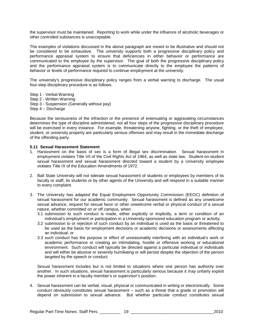the supervisor must be maintained. Reporting to work while under the influence of alcoholic beverages or other controlled substances is unacceptable.

The examples of violations discussed in the above paragraph are meant to be illustrative and should not be considered to be exhaustive. The university supports both a progressive disciplinary policy and performance appraisal system to ensure that deficiencies in either behavior or performance are communicated to the employee by the supervisor. The goal of both the progressive disciplinary policy and the performance appraisal system is to communicate directly to the employee the patterns of behavior or levels of performance required to continue employment at the university.

The university's progressive disciplinary policy ranges from a verbal warning to discharge. The usual four-step disciplinary procedure is as follows:

Step 1 - Verbal Warning Step 2 - Written Warning Step 3 - Suspension (Generally without pay) Step 4 – Discharge

Because the seriousness of the infraction or the presence of extenuating or aggravating circumstances determines the type of discipline administered, not all four steps of the progressive disciplinary procedure will be exercised in every instance. For example, threatening anyone, fighting, or the theft of employee, student, or university property are particularly serious offenses and may result in the immediate discharge of the offending party.

#### **5.11 Sexual Harassment Statement**

- 1. Harassment on the basis of sex is a form of illegal sex discrimination. Sexual harassment in employment violates Title VII of the Civil Rights Act of 1964, as well as state law. Student-on-student sexual harassment and sexual harassment directed toward a student by a University employee violates Title IX of the Education Amendments of 1972.
- 2. Ball State University will not tolerate sexual harassment of students or employees by members of its faculty or staff, its students or by other agents of the University and will respond in a suitable manner to every complaint.
- 3. The University has adapted the Equal Employment Opportunity Commission (EEOC) definition of sexual harassment for our academic community: Sexual harassment is defined as any unwelcome sexual advance, request for sexual favor or other unwelcome verbal or physical conduct of a sexual nature, whether committed on or off campus, when:
	- 3.1 submission to such conduct is made, either explicitly or implicitly, a term or condition of an individual's employment or participation in a University-sponsored education program or activity;
	- 3.2 submission to or rejection of such conduct by an individual is used as the basis or threatened to be used as the basis for employment decisions or academic decisions or assessments affecting an individual; or
	- 3.3 such conduct has the purpose or effect of unreasonably interfering with an individual's work or academic performance or creating an intimidating, hostile or offensive working or educational environment. Such conduct will typically be directed against a particular individual or individuals and will either be abusive or severely humiliating or will persist despite the objection of the person targeted by the speech or conduct.

Sexual harassment includes but is not limited to situations where one person has authority over another. In such situations, sexual harassment is particularly serious because it may unfairly exploit the power inherent in a faculty member's or supervisor's position.

4. Sexual harassment can be verbal, visual, physical or communicated in writing or electronically. Some conduct obviously constitutes sexual harassment – such as a threat that a grade or promotion will depend on submission to sexual advance. But whether particular conduct constitutes sexual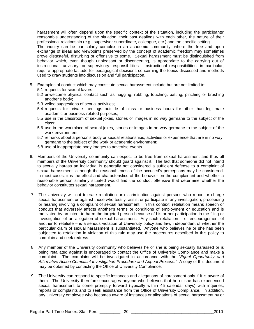harassment will often depend upon the specific context of the situation, including the participants' reasonable understanding of the situation, their past dealings with each other, the nature of their professional relationship (e.g., supervisor-subordinate, colleague, etc.) and the specific setting.

The inquiry can be particularly complex in an academic community, where the free and open exchange of ideas and viewpoints preserved by the concept of academic freedom may sometimes prove distasteful, disturbing or offensive to some. Sexual harassment must be distinguished from behavior which, even though unpleasant or disconcerting, is appropriate to the carrying out of instructional, advisory, or supervisory responsibilities. Instructional responsibilities, in particular, require appropriate latitude for pedagogical decisions concerning the topics discussed and methods used to draw students into discussion and full participation.

- 5. Examples of conduct which may constitute sexual harassment include but are not limited to:
	- 5.1 requests for sexual favors;
	- 5.2 unwelcome physical contact such as hugging, rubbing, touching, patting, pinching or brushing another's body;
	- 5.3 veiled suggestions of sexual activities;
	- 5.4 requests for private meetings outside of class or business hours for other than legitimate academic or business-related purposes;
	- 5.5 use in the classroom of sexual jokes, stories or images in no way germane to the subject of the class;
	- 5.6 use in the workplace of sexual jokes, stories or images in no way germane to the subject of the work environment;
	- 5.7 remarks about a person's body or sexual relationships, activities or experience that are in no way germane to the subject of the work or academic environment;
	- 5.8 use of inappropriate body images to advertise events.
- 6. Members of the University community can expect to be free from sexual harassment and thus all members of the University community should guard against it. The fact that someone did not intend to sexually harass an individual is generally not considered a sufficient defense to a complaint of sexual harassment, although the reasonableness of the accused's perceptions may be considered. In most cases, it is the effect and characteristics of the behavior on the complainant and whether a reasonable person similarly situated would find the conduct offensive that determine whether the behavior constitutes sexual harassment.
- 7. The University will not tolerate retaliation or discrimination against persons who report or charge sexual harassment or against those who testify, assist or participate in any investigation, proceeding or hearing involving a complaint of sexual harassment. In this context, retaliation means speech or conduct that adversely affects another's terms or conditions of employment or education and is motivated by an intent to harm the targeted person because of his or her participation in the filing or investigation of an allegation of sexual harassment. Any such retaliation – or encouragement of another to retaliate – is a serious violation of University policy and law, independent of whether the particular claim of sexual harassment is substantiated. Anyone who believes he or she has been subjected to retaliation in violation of this rule may use the procedures described in this policy to complain and seek redress.
- 8. Any member of the University community who believes he or she is being sexually harassed or is being retaliated against is encouraged to contact the Office of University Compliance and make a complaint. The complaint will be investigated in accordance with the *"Equal Opportunity and Affirmative Action Complaint Investigation Procedure and Appeal Process."* A copy of this document may be obtained by contacting the Office of University Compliance.
- 9. The University can respond to specific instances and allegations of harassment only if it is aware of them. The University therefore encourages anyone who believes that he or she has experienced sexual harassment to come promptly forward (typically within 45 calendar days) with inquiries, reports or complaints and to seek assistance from the Office of University Compliance. In addition, any University employee who becomes aware of instances or allegations of sexual harassment by or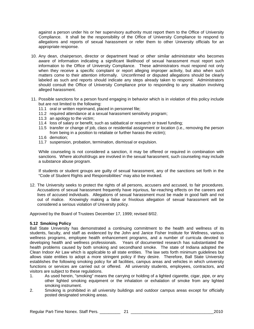against a person under his or her supervisory authority must report them to the Office of University Compliance. It shall be the responsibility of the Office of University Compliance to respond to allegations and reports of sexual harassment or refer them to other University officials for an appropriate response.

- 10. Any dean, chairperson, director or department head or other similar administrator who becomes aware of information indicating a significant likelihood of sexual harassment must report such information to the Office of University Compliance. These administrators must respond not only when they receive a specific complaint or report alleging improper activity, but also when such matters come to their attention informally. Unconfirmed or disputed allegations should be clearly labeled as such and reports should indicate any steps already taken to respond. Administrators should consult the Office of University Compliance prior to responding to any situation involving alleged harassment.
- 11. Possible sanctions for a person found engaging in behavior which is in violation of this policy include but are not limited to the following:
	- 11.1 oral or written reprimand, placed in personnel file;
	- 11.2 required attendance at a sexual harassment sensitivity program;
	- 11.3 an apology to the victim;
	- 11.4 loss of salary or benefit, such as sabbatical or research or travel funding;
	- 11.5 transfer or change of job, class or residential assignment or location (i.e., removing the person from being in a position to retaliate or further harass the victim);
	- 11.6 demotion;
	- 11.7 suspension, probation, termination, dismissal or expulsion.

While counseling is not considered a sanction, it may be offered or required in combination with sanctions. Where alcohol/drugs are involved in the sexual harassment, such counseling may include a substance abuse program.

If students or student groups are guilty of sexual harassment, any of the sanctions set forth in the "Code of Student Rights and Responsibilities" may also be invoked.

12. The University seeks to protect the rights of all persons, accusers and accused, to fair procedures. Accusations of sexual harassment frequently have injurious, far-reaching effects on the careers and lives of accused individuals. Allegations of sexual harassment must be made in good faith and not out of malice. Knowingly making a false or frivolous allegation of sexual harassment will be considered a serious violation of University policy.

Approved by the Board of Trustees December 17, 1999; revised 8/02.

#### **5.12 Smoking Policy**

Ball State University has demonstrated a continuing commitment to the health and wellness of its students, faculty, and staff as evidenced by the John and Janice Fisher Institute for Wellness, various wellness programs, employee health enhancement programs, and a number of curricula devoted to developing health and wellness professionals. Years of documented research has substantiated the health problems caused by both smoking and secondhand smoke. The state of Indiana adopted the Clean Indoor Air Law which is applicable to all state entities. The law sets forth minimum guidelines but allows state entities to adopt a more stringent policy if they desire. Therefore, Ball State University establishes the following smoking policy for all facilities, campus areas and vehicles in which university functions or services are carried out or offered. All university students, employees, contractors, and visitors are subject to these regulations.<br>1. As used herein. "smoking" mear

- As used herein, "smoking" means the carrying or holding of a lighted cigarette, cigar, pipe, or any other lighted smoking equipment or the inhalation or exhalation of smoke from any lighted smoking instrument.
- 2. Smoking is prohibited in all university buildings and outdoor campus areas except for officially posted designated smoking areas.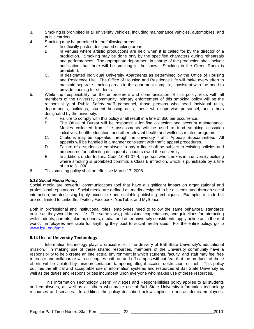- 3. Smoking is prohibited in all university vehicles, including maintenance vehicles, automobiles, and public carriers.
- 4. Smoking may be permitted in the following areas:<br>A. In officially posted designated smoking are
	- In officially posted designated smoking areas.
	- B. In venues where artistic productions are held when it is called for by the director of a production. Smoking may be done only by the specified characters during rehearsals and performances. The appropriate department in charge of the production shall include notification that there will be smoking in the show. Smoking in the Green Room is prohibited.
	- C. In designated individual University Apartments as determined by the Office of Housing and Residence Life. The Office of Housing and Residence Life will make every effort to maintain separate smoking areas in the apartment complex, consistent with the need to provide housing for students.
- 5. While the responsibility for the enforcement and communication of this policy rests with all members of the university community, primary enforcement of this smoking policy will be the responsibility of Public Safety staff personnel, those persons who head individual units, departments, buildings, student housing units, those who supervise personnel, and others designated by the university.
	- A. Failure to comply with this policy shall result in a fine of \$50 per occurrence.
	- B. The Office of Bursar will be responsible for fine collection and account maintenance. Monies collected from fine assessments will be used to fund smoking cessation initiatives, health education, and other relevant health and wellness related programs.
	- C. Citations may be appealed through the university Traffic Appeals Subcommittee. All appeals will be handled in a manner consistent with traffic appeal procedures.
	- D. Failure of a student or employee to pay a fine shall be subject to existing policies and procedures for collecting delinquent accounts owed the university.
	- E. In addition, under Indiana Code 16-41-37-4, a person who smokes in a university building where smoking is prohibited commits a Class B infraction, which is punishable by a fine of up to \$1,000.
- 6. This smoking policy shall be effective March 17, 2008.

#### **5.13 Social Media Policy**

Social media are powerful communications tool that have a significant impact on organizational and professional reputations. Social media are defined as media designed to be disseminated through social interaction, created using highly accessible and scalable publishing techniques. Examples include but are not limited to LinkedIn, Twitter, Facebook, YouTube, and MySpace.

Both in professional and institutional roles, employees need to follow the same behavioral standards online as they would in real life. The same laws, professional expectations, and guidelines for interacting with students, parents, alumni, donors, media, and other university constituents apply online as in the real world. Employees are liable for anything they post to social media sites. For the entire policy, go to [www.bsu.edu/umc.](http://www.bsu.edu/umc)

#### **5.14 Use of University Technology**

Information technology plays a crucial role in the delivery of Ball State University's educational mission. In making use of these shared resources, members of the University community have a responsibility to help create an intellectual environment in which students, faculty, and staff may feel free to create and collaborate with colleagues both on and off campus without fear that the products of these efforts will be violated by misrepresentation, tampering, illegal access, destruction, or theft. This policy outlines the ethical and acceptable use of information systems and resources at Ball State University as well as the duties and responsibilities incumbent upon everyone who makes use of these resources.

This Information Technology Users' Privileges and Responsibilities policy applies to all students and employees, as well as all others who make use of Ball State University information technology resources and services. In addition, the policy described below applies to non-academic employees.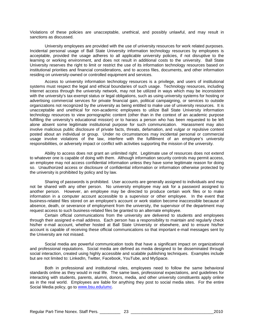Violations of these policies are unacceptable, unethical, and possibly unlawful, and may result in sanctions as discussed.

University employees are provided with the use of university resources for work related purposes. Incidental personal usage of Ball State University information technology resources by employees is acceptable, provided the usage adheres to all applicable university policies, if not disruptive to the learning or working environment, and does not result in additional costs to the university. Ball State University reserves the right to limit or restrict the use of its information technology resources based on institutional priorities and financial considerations, and to access files, documents, and other information residing on university-owned or controlled equipment and services.

Access to university information technology resources is a privilege, and users of institutional systems must respect the legal and ethical boundaries of such usage. Technology resources, including Internet access through the university network, may not be utilized in ways which may be inconsistent with the university's tax-exempt status or legal obligations, such as using university systems for hosting or advertising commercial services for private financial gain, political campaigning, or services to outside organizations not recognized by the university as being entitled to make use of university resources. It is unacceptable and unethical for non-academic employees to utilize Ball State University information technology resources to view pornographic content (other than in the context of an academic purpose fulfilling the university's educational mission) or to harass a person who has been requested to be left alone absent some legitimate institutional purpose for such communication. Harassment may also involve malicious public disclosure of private facts, threats, defamation, and vulgar or repulsive content posted about an individual or group. Under no circumstances may incidental personal or commercial usage involve violations of the law, interfere with the fulfillment of an employee's university responsibilities, or adversely impact or conflict with activities supporting the mission of the university.

Ability to access does not grant an unlimited right. Legitimate use of resources does not extend to whatever one is capable of doing with them. Although information security controls may permit access, an employee may not access confidential information unless they have some legitimate reason for doing so. Unauthorized access or disclosure of confidential information or information otherwise protected by the university is prohibited by policy and by law.

Sharing of passwords is prohibited. User accounts are generally assigned to individuals and may not be shared with any other person. No university employee may ask for a password assigned to another person. However, an employee may be directed to produce certain work files or to make information in a computer account accessible to a supervisor or other employee. In the event that business-related files stored on an employee's account or work station become inaccessible because of absence, death, or severance of employment from the university, the supervisor of the department may request access to such business-related files be granted to an alternate employee.

Certain official communications from the university are delivered to students and employees through their assigned e-mail address. Each person has a responsibility to maintain and regularly check his/her e-mail account, whether hosted at Ball State University or elsewhere, and to ensure his/her account is capable of receiving these official communications so that important e-mail messages sent by the University are not missed.

Social media are powerful communication tools that have a significant impact on organizational and professional reputations. Social media are defined as media designed to be disseminated through social interaction, created using highly accessible and scalable publishing techniques. Examples include but are not limited to: LinkedIn, Twitter, Facebook, YouTube, and MySpace.

Both in professional and institutional roles, employees need to follow the same behavioral standards online as they would in real life. The same laws, professional expectations, and guidelines for interacting with students, parents, alumni, donors, media, and other university constituents apply online as in the real world. Employees are liable for anything they post to social media sites. For the entire Social Media policy, go to [www.bsu.edu/umc.](http://www.bsu.edu/umc)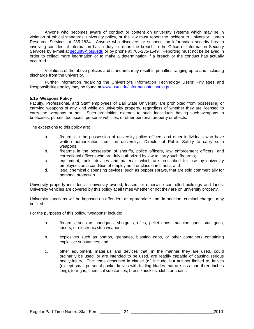Anyone who becomes aware of conduct or content on university systems which may be in violation of ethical standards, university policy, or the law must report the incident to University Human Resource Services at 285-1834. Anyone who discovers or suspects an information security breach involving confidential information has a duty to report the breach to the Office of Information Security Services by e-mail at [security@bsu.edu](mailto:security@bsu.edu) or by phone at 765-285-1549. Reporting must not be delayed in order to collect more information or to make a determination if a breach or the conduct has actually occurred.

Violations of the above policies and standards may result in penalties ranging up to and including discharge from the university.

Further information regarding the University's Information Technology Users' Privileges and Responsibilities policy may be found at [www.bsu.edu/informationtechnology.](http://www.bsu.edu/informationtechnology)

#### **5.15 Weapons Policy**

Faculty, Professional, and Staff employees of Ball State University are prohibited from possessing or carrying weapons of any kind while on university property, regardless of whether they are licensed to carry the weapons or not. Such prohibition extends to such individuals having such weapons in briefcases, purses, toolboxes, personal vehicles, or other personal property or effects.

The exceptions to this policy are:

- a. firearms in the possession of university police officers and other individuals who have written authorization from the university's Director of Public Safety to carry such weapons;
- b. firearms in the possession of sheriffs, police officers, law enforcement officers, and correctional officers who are duly authorized by law to carry such firearms;
- c. equipment, tools, devices and materials which are prescribed for use by university employees as a condition of employment or class enrollment; and
- d. legal chemical dispensing devices, such as pepper sprays, that are sold commercially for personal protection.

University property includes all university owned, leased, or otherwise controlled buildings and lands. University vehicles are covered by this policy at all times whether or not they are on university property.

University sanctions will be imposed on offenders as appropriate and, in addition, criminal charges may be filed.

For the purposes of this policy, "weapons" include:

- a. firearms, such as handguns, shotguns, rifles, pellet guns, machine guns, stun guns, tasers, or electronic stun weapons;
- b. explosives such as bombs, grenades, blasting caps, or other containers containing explosive substances; and
- c. other equipment, materials and devices that, in the manner they are used, could ordinarily be used, or are intended to be used, are readily capable of causing serious bodily injury. The items described in clause (c.) include, but are not limited to, knives (except small personal pocket knives with folding blades that are less than three inches long), tear gas, chemical substances, brass knuckles, clubs or chains.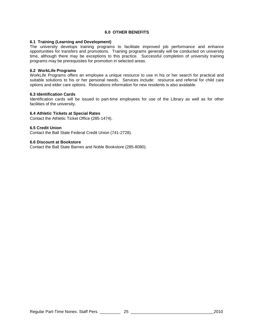#### **6.0 OTHER BENEFITS**

#### **6.1 Training (Learning and Development)**

The university develops training programs to facilitate improved job performance and enhance opportunities for transfers and promotions. Training programs generally will be conducted on university time, although there may be exceptions to this practice. Successful completion of university training programs may be prerequisites for promotion in selected areas.

#### **6.2 WorkLife Programs**

WorkLife Programs offers an employee a unique resource to use in his or her search for practical and suitable solutions to his or her personal needs. Services include: resource and referral for child care options and elder care options. Relocations information for new residents is also available.

#### **6.3 Identification Cards**

Identification cards will be issued to part-time employees for use of the Library as well as for other facilities of the university.

#### **6.4 Athletic Tickets at Special Rates**

Contact the Athletic Ticket Office (285-1474).

#### **6.5 Credit Union**

Contact the Ball State Federal Credit Union (741-2728).

#### **6.6 Discount at Bookstore**

Contact the Ball State Barnes and Noble Bookstore (285-8080).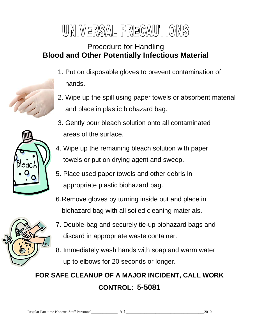# UNIVERSAL PRECAUTIONS

### Procedure for Handling **Blood and Other Potentially Infectious Material**

- 1. Put on disposable gloves to prevent contamination of hands.
- 2. Wipe up the spill using paper towels or absorbent material and place in plastic biohazard bag.



- 4. Wipe up the remaining bleach solution with paper towels or put on drying agent and sweep.
- 5. Place used paper towels and other debris in appropriate plastic biohazard bag.
- 6.Remove gloves by turning inside out and place in biohazard bag with all soiled cleaning materials.



8. Immediately wash hands with soap and warm water up to elbows for 20 seconds or longer.

## **FOR SAFE CLEANUP OF A MAJOR INCIDENT, CALL WORK CONTROL: 5-5081**